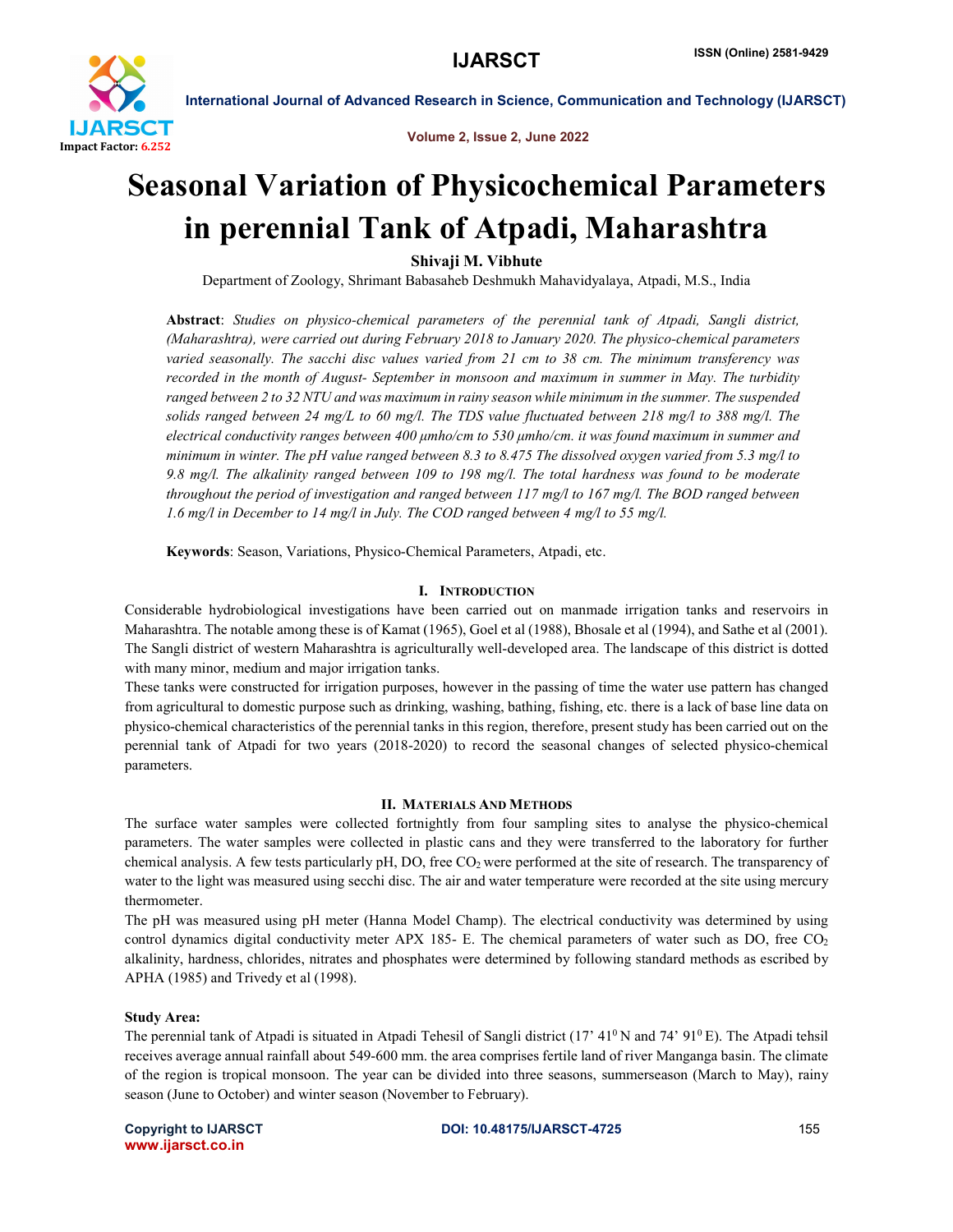

Volume 2, Issue 2, June 2022

# Seasonal Variation of Physicochemical Parameters in perennial Tank of Atpadi, Maharashtra

Shivaji M. Vibhute

Department of Zoology, Shrimant Babasaheb Deshmukh Mahavidyalaya, Atpadi, M.S., India

Abstract: *Studies on physico-chemical parameters of the perennial tank of Atpadi, Sangli district, (Maharashtra), were carried out during February 2018 to January 2020. The physico-chemical parameters varied seasonally. The sacchi disc values varied from 21 cm to 38 cm. The minimum transferency was recorded in the month of August- September in monsoon and maximum in summer in May. The turbidity ranged between 2 to 32 NTU and was maximum in rainy season while minimum in the summer. The suspended solids ranged between 24 mg/L to 60 mg/l. The TDS value fluctuated between 218 mg/l to 388 mg/l. The electrical conductivity ranges between 400 μmho/cm to 530 μmho/cm. it was found maximum in summer and minimum in winter. The pH value ranged between 8.3 to 8.475 The dissolved oxygen varied from 5.3 mg/l to 9.8 mg/l. The alkalinity ranged between 109 to 198 mg/l. The total hardness was found to be moderate throughout the period of investigation and ranged between 117 mg/l to 167 mg/l. The BOD ranged between 1.6 mg/l in December to 14 mg/l in July. The COD ranged between 4 mg/l to 55 mg/l.* 

Keywords: Season, Variations, Physico-Chemical Parameters, Atpadi, etc.

# I. INTRODUCTION

Considerable hydrobiological investigations have been carried out on manmade irrigation tanks and reservoirs in Maharashtra. The notable among these is of Kamat (1965), Goel et al (1988), Bhosale et al (1994), and Sathe et al (2001). The Sangli district of western Maharashtra is agriculturally well-developed area. The landscape of this district is dotted with many minor, medium and major irrigation tanks.

These tanks were constructed for irrigation purposes, however in the passing of time the water use pattern has changed from agricultural to domestic purpose such as drinking, washing, bathing, fishing, etc. there is a lack of base line data on physico-chemical characteristics of the perennial tanks in this region, therefore, present study has been carried out on the perennial tank of Atpadi for two years (2018-2020) to record the seasonal changes of selected physico-chemical parameters.

# II. MATERIALS AND METHODS

The surface water samples were collected fortnightly from four sampling sites to analyse the physico-chemical parameters. The water samples were collected in plastic cans and they were transferred to the laboratory for further chemical analysis. A few tests particularly pH, DO, free CO<sub>2</sub> were performed at the site of research. The transparency of water to the light was measured using secchi disc. The air and water temperature were recorded at the site using mercury thermometer.

The pH was measured using pH meter (Hanna Model Champ). The electrical conductivity was determined by using control dynamics digital conductivity meter APX 185- E. The chemical parameters of water such as DO, free  $CO<sub>2</sub>$ alkalinity, hardness, chlorides, nitrates and phosphates were determined by following standard methods as escribed by APHA (1985) and Trivedy et al (1998).

#### Study Area:

The perennial tank of Atpadi is situated in Atpadi Tehesil of Sangli district  $(17' 41<sup>0</sup> N$  and  $74' 91<sup>0</sup> E)$ . The Atpadi tehsil receives average annual rainfall about 549-600 mm. the area comprises fertile land of river Manganga basin. The climate of the region is tropical monsoon. The year can be divided into three seasons, summerseason (March to May), rainy season (June to October) and winter season (November to February).

www.ijarsct.co.in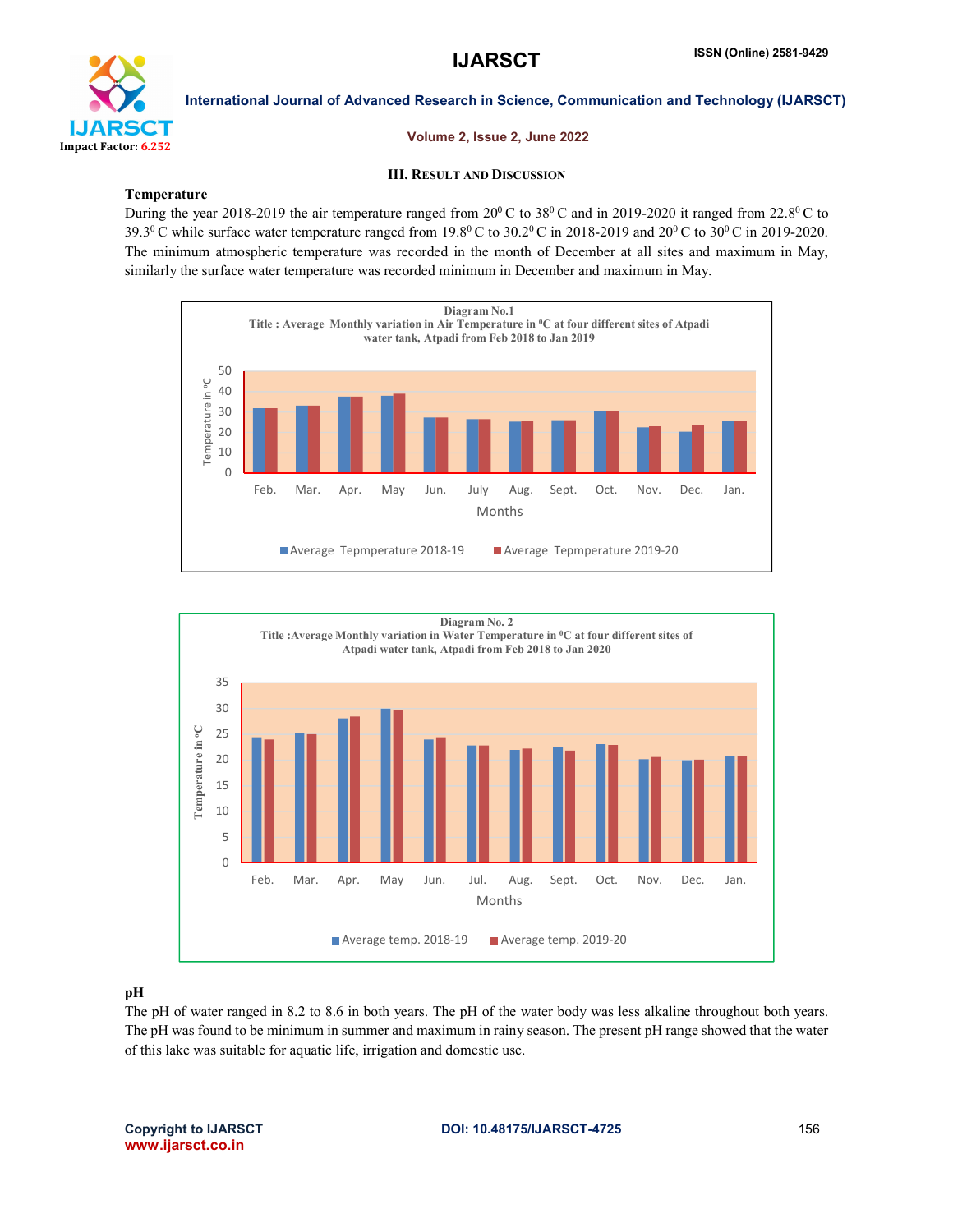

# Volume 2, Issue 2, June 2022

# III. RESULT AND DISCUSSION

# Temperature

During the year 2018-2019 the air temperature ranged from  $20^{\circ}$ C to  $38^{\circ}$ C and in 2019-2020 it ranged from 22.8<sup>o</sup>C to 39.3<sup>0</sup> C while surface water temperature ranged from 19.8<sup>0</sup> C to 30.2<sup>0</sup> C in 2018-2019 and 20<sup>0</sup> C to 30<sup>0</sup> C in 2019-2020. The minimum atmospheric temperature was recorded in the month of December at all sites and maximum in May, similarly the surface water temperature was recorded minimum in December and maximum in May.





# pH

The pH of water ranged in 8.2 to 8.6 in both years. The pH of the water body was less alkaline throughout both years. The pH was found to be minimum in summer and maximum in rainy season. The present pH range showed that the water of this lake was suitable for aquatic life, irrigation and domestic use.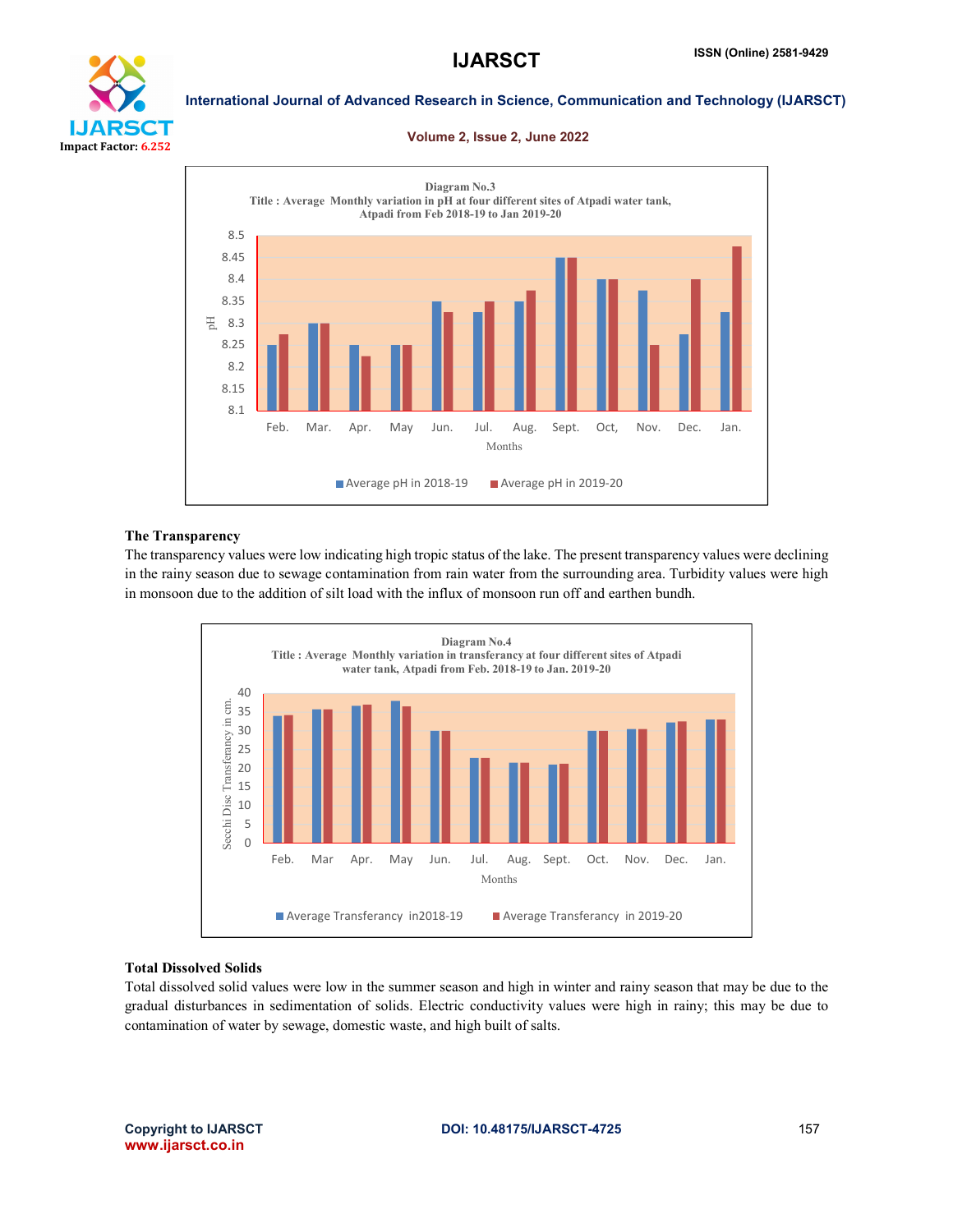

#### Volume 2, Issue 2, June 2022



#### The Transparency

The transparency values were low indicating high tropic status of the lake. The present transparency values were declining in the rainy season due to sewage contamination from rain water from the surrounding area. Turbidity values were high in monsoon due to the addition of silt load with the influx of monsoon run off and earthen bundh.



# Total Dissolved Solids

Total dissolved solid values were low in the summer season and high in winter and rainy season that may be due to the gradual disturbances in sedimentation of solids. Electric conductivity values were high in rainy; this may be due to contamination of water by sewage, domestic waste, and high built of salts.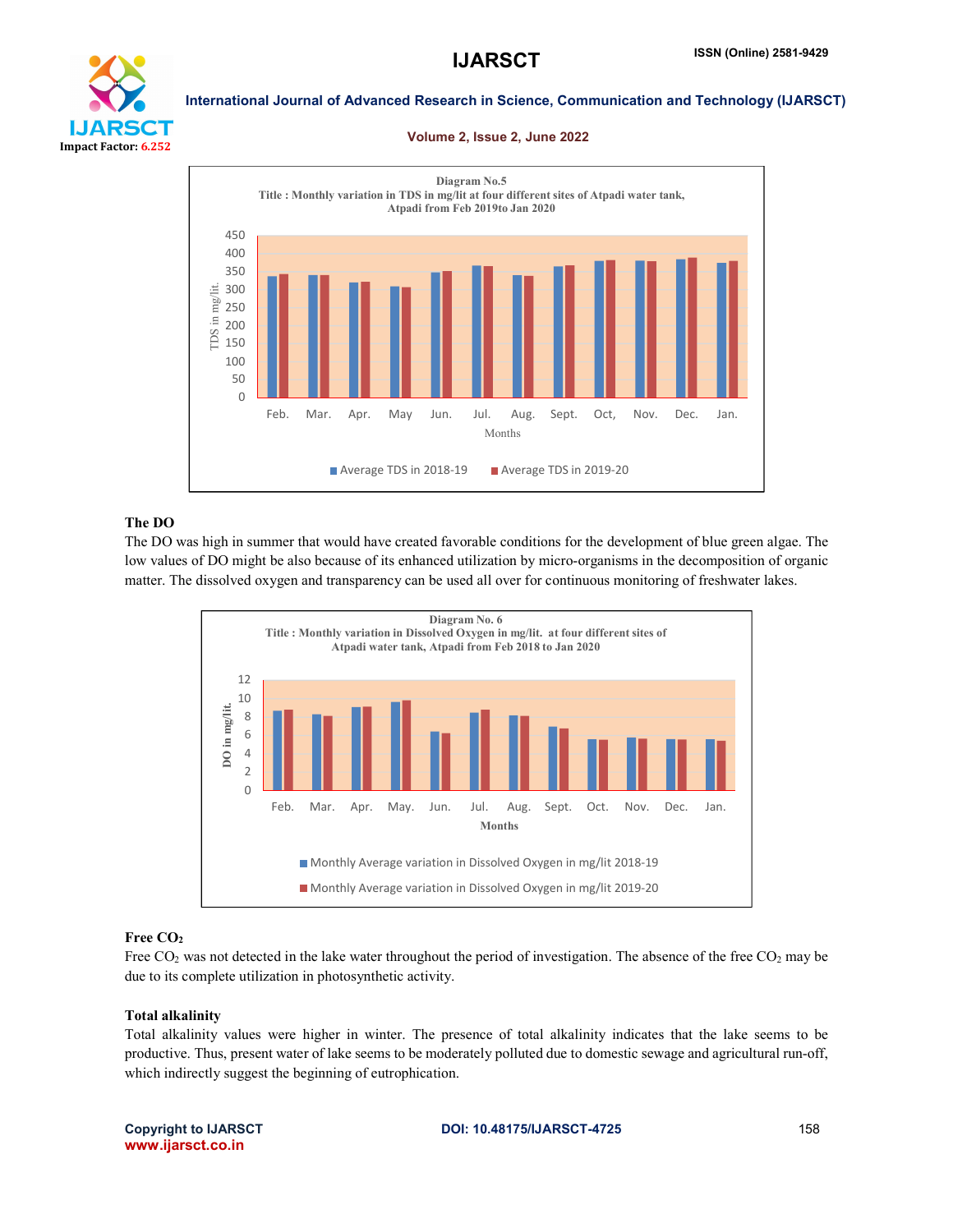

#### Volume 2, Issue 2, June 2022



# The DO

The DO was high in summer that would have created favorable conditions for the development of blue green algae. The low values of DO might be also because of its enhanced utilization by micro-organisms in the decomposition of organic matter. The dissolved oxygen and transparency can be used all over for continuous monitoring of freshwater lakes.



# Free CO<sub>2</sub>

Free  $CO<sub>2</sub>$  was not detected in the lake water throughout the period of investigation. The absence of the free  $CO<sub>2</sub>$  may be due to its complete utilization in photosynthetic activity.

# Total alkalinity

Total alkalinity values were higher in winter. The presence of total alkalinity indicates that the lake seems to be productive. Thus, present water of lake seems to be moderately polluted due to domestic sewage and agricultural run-off, which indirectly suggest the beginning of eutrophication.

www.ijarsct.co.in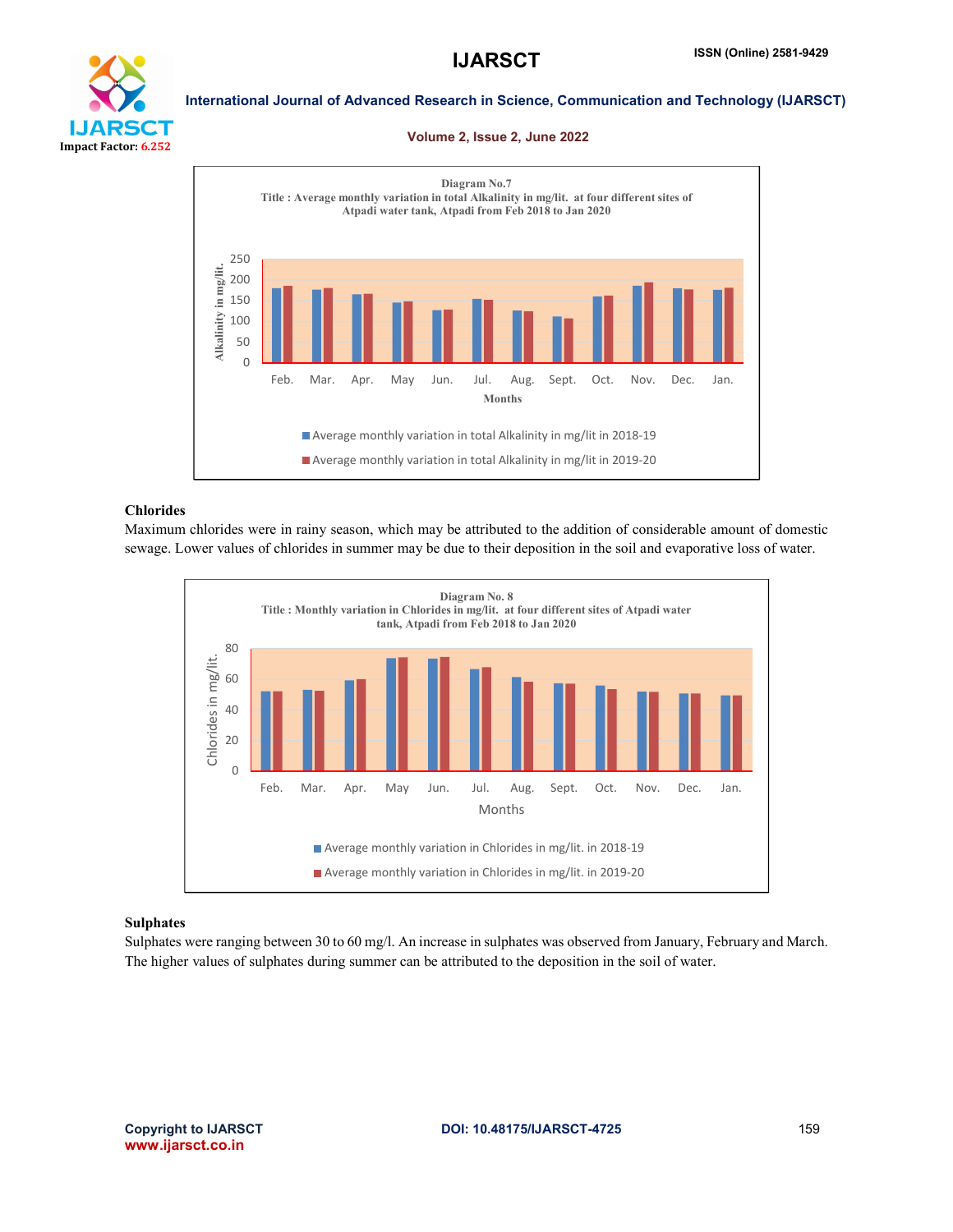

#### Volume 2, Issue 2, June 2022



# Chlorides

Maximum chlorides were in rainy season, which may be attributed to the addition of considerable amount of domestic sewage. Lower values of chlorides in summer may be due to their deposition in the soil and evaporative loss of water.



# Sulphates

Sulphates were ranging between 30 to 60 mg/l. An increase in sulphates was observed from January, February and March. The higher values of sulphates during summer can be attributed to the deposition in the soil of water.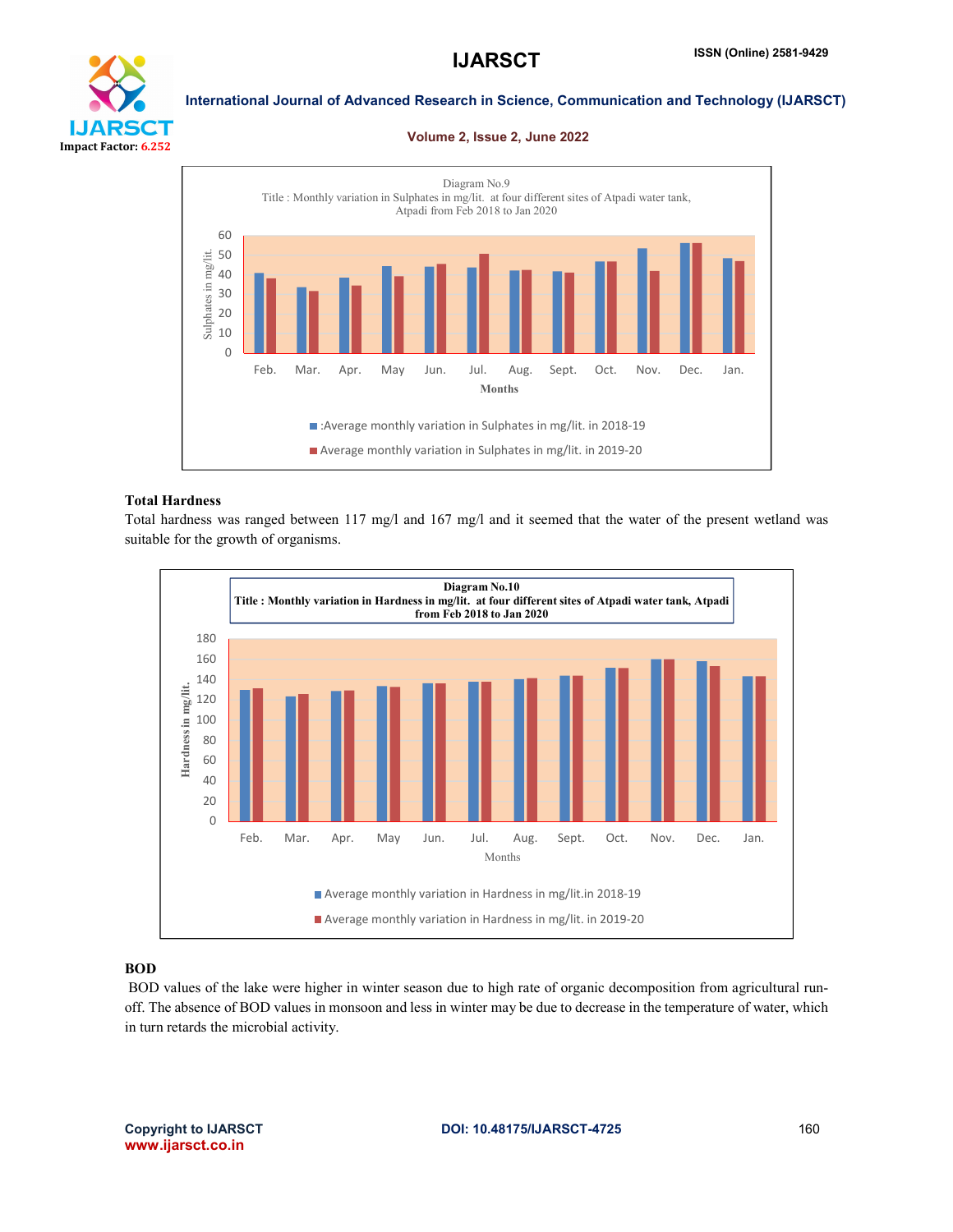

#### Volume 2, Issue 2, June 2022



# Total Hardness

Total hardness was ranged between 117 mg/l and 167 mg/l and it seemed that the water of the present wetland was suitable for the growth of organisms.



# BOD

BOD values of the lake were higher in winter season due to high rate of organic decomposition from agricultural runoff. The absence of BOD values in monsoon and less in winter may be due to decrease in the temperature of water, which in turn retards the microbial activity.